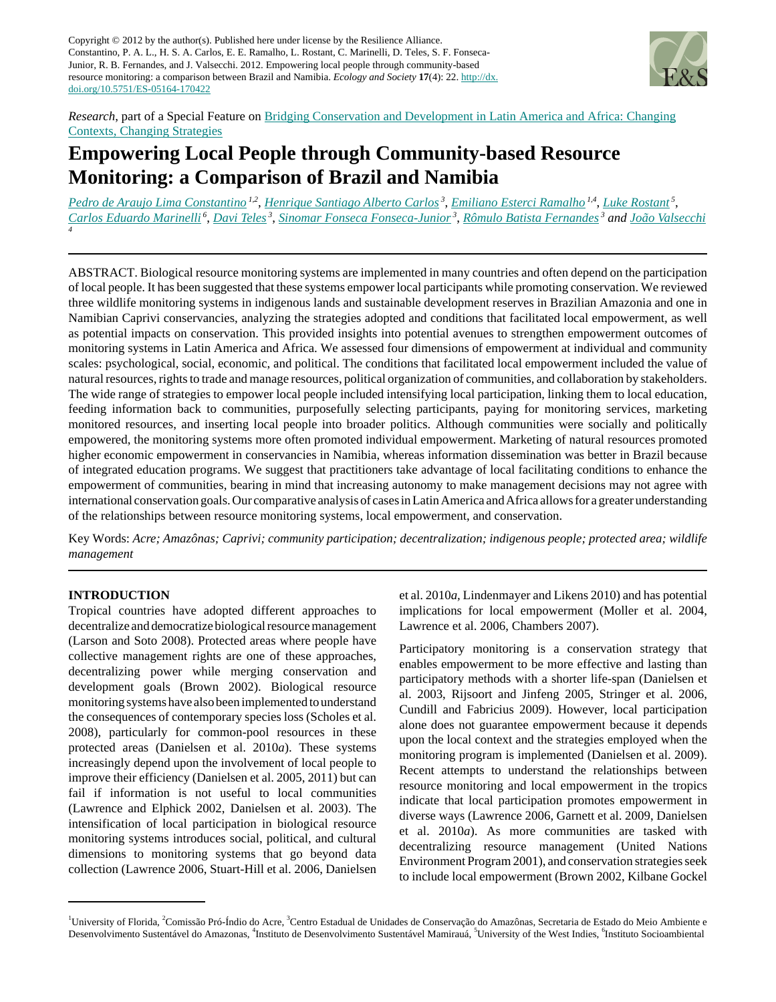Copyright © 2012 by the author(s). Published here under license by the Resilience Alliance. Constantino, P. A. L., H. S. A. Carlos, E. E. Ramalho, L. Rostant, C. Marinelli, D. Teles, S. F. Fonseca-Junior, R. B. Fernandes, and J. Valsecchi. 2012. Empowering local people through community-based resource monitoring: a comparison between Brazil and Namibia. *Ecology and Society* **17**(4): 22. [http://dx.](http://dx.doi.org/10.5751/ES-05164-170422) [doi.org/10.5751/ES-05164-170422](http://dx.doi.org/10.5751/ES-05164-170422)



*Research*, part of a Special Feature on [Bridging Conservation and Development in Latin America and Africa: Changing](http://www.ecologyandsociety.org/viewissue.php?sf=72) [Contexts, Changing Strategies](http://www.ecologyandsociety.org/viewissue.php?sf=72)

# **Empowering Local People through Community-based Resource Monitoring: a Comparison of Brazil and Namibia**

*[Pedro de Araujo Lima Constantino](mailto:plconstantino@gmail.com) 1,2* , *[Henrique Santiago Alberto Carlos](mailto:hsacarlos@yahoo.com.br)<sup>3</sup>* , *[Emiliano Esterci Ramalho](mailto:eeramalho@uol.com.br) 1,4* , *[Luke Rostant](mailto:lrostant@gmail.com)<sup>5</sup>* , *[Carlos Eduardo Marinelli](mailto:caemari@gmail.com)<sup>6</sup>* , *[Davi Teles](mailto:davitvs@gmail.com)<sup>3</sup>* , *[Sinomar Fonseca Fonseca-Junior](mailto:sinomarjunior@yahoo.com.br)<sup>3</sup>* , *[Rômulo Batista Fernandes](mailto:romulobio@gmail.com)<sup>3</sup> and [João Valsecchi](mailto:joao.valsecchi@mamiraua.org.br) 4*

ABSTRACT. Biological resource monitoring systems are implemented in many countries and often depend on the participation of local people. It has been suggested that these systems empower local participants while promoting conservation. We reviewed three wildlife monitoring systems in indigenous lands and sustainable development reserves in Brazilian Amazonia and one in Namibian Caprivi conservancies, analyzing the strategies adopted and conditions that facilitated local empowerment, as well as potential impacts on conservation. This provided insights into potential avenues to strengthen empowerment outcomes of monitoring systems in Latin America and Africa. We assessed four dimensions of empowerment at individual and community scales: psychological, social, economic, and political. The conditions that facilitated local empowerment included the value of natural resources, rights to trade and manage resources, political organization of communities, and collaboration by stakeholders. The wide range of strategies to empower local people included intensifying local participation, linking them to local education, feeding information back to communities, purposefully selecting participants, paying for monitoring services, marketing monitored resources, and inserting local people into broader politics. Although communities were socially and politically empowered, the monitoring systems more often promoted individual empowerment. Marketing of natural resources promoted higher economic empowerment in conservancies in Namibia, whereas information dissemination was better in Brazil because of integrated education programs. We suggest that practitioners take advantage of local facilitating conditions to enhance the empowerment of communities, bearing in mind that increasing autonomy to make management decisions may not agree with international conservation goals. Our comparative analysis of cases in Latin America and Africa allows for a greater understanding of the relationships between resource monitoring systems, local empowerment, and conservation.

Key Words: *Acre; Amazônas; Caprivi; community participation; decentralization; indigenous people; protected area; wildlife management*

#### **INTRODUCTION**

Tropical countries have adopted different approaches to decentralize and democratize biological resource management (Larson and Soto 2008). Protected areas where people have collective management rights are one of these approaches, decentralizing power while merging conservation and development goals (Brown 2002). Biological resource monitoring systems have also been implemented to understand the consequences of contemporary species loss (Scholes et al. 2008), particularly for common-pool resources in these protected areas (Danielsen et al. 2010*a*). These systems increasingly depend upon the involvement of local people to improve their efficiency (Danielsen et al. 2005, 2011) but can fail if information is not useful to local communities (Lawrence and Elphick 2002, Danielsen et al. 2003). The intensification of local participation in biological resource monitoring systems introduces social, political, and cultural dimensions to monitoring systems that go beyond data collection (Lawrence 2006, Stuart-Hill et al. 2006, Danielsen

et al. 2010*a,* Lindenmayer and Likens 2010) and has potential implications for local empowerment (Moller et al. 2004, Lawrence et al. 2006, Chambers 2007).

Participatory monitoring is a conservation strategy that enables empowerment to be more effective and lasting than participatory methods with a shorter life-span (Danielsen et al. 2003, Rijsoort and Jinfeng 2005, Stringer et al. 2006, Cundill and Fabricius 2009). However, local participation alone does not guarantee empowerment because it depends upon the local context and the strategies employed when the monitoring program is implemented (Danielsen et al. 2009). Recent attempts to understand the relationships between resource monitoring and local empowerment in the tropics indicate that local participation promotes empowerment in diverse ways (Lawrence 2006, Garnett et al. 2009, Danielsen et al. 2010*a*). As more communities are tasked with decentralizing resource management (United Nations Environment Program 2001), and conservation strategies seek to include local empowerment (Brown 2002, Kilbane Gockel

<sup>&</sup>lt;sup>1</sup>University of Florida, <sup>2</sup>Comissão Pró-Índio do Acre, <sup>3</sup>Centro Estadual de Unidades de Conservação do Amazônas, Secretaria de Estado do Meio Ambiente e Desenvolvimento Sustentável do Amazonas, <sup>4</sup>Instituto de Desenvolvimento Sustentável Mamirauá, <sup>5</sup>University of the West Indies, <sup>6</sup>Instituto Socioambiental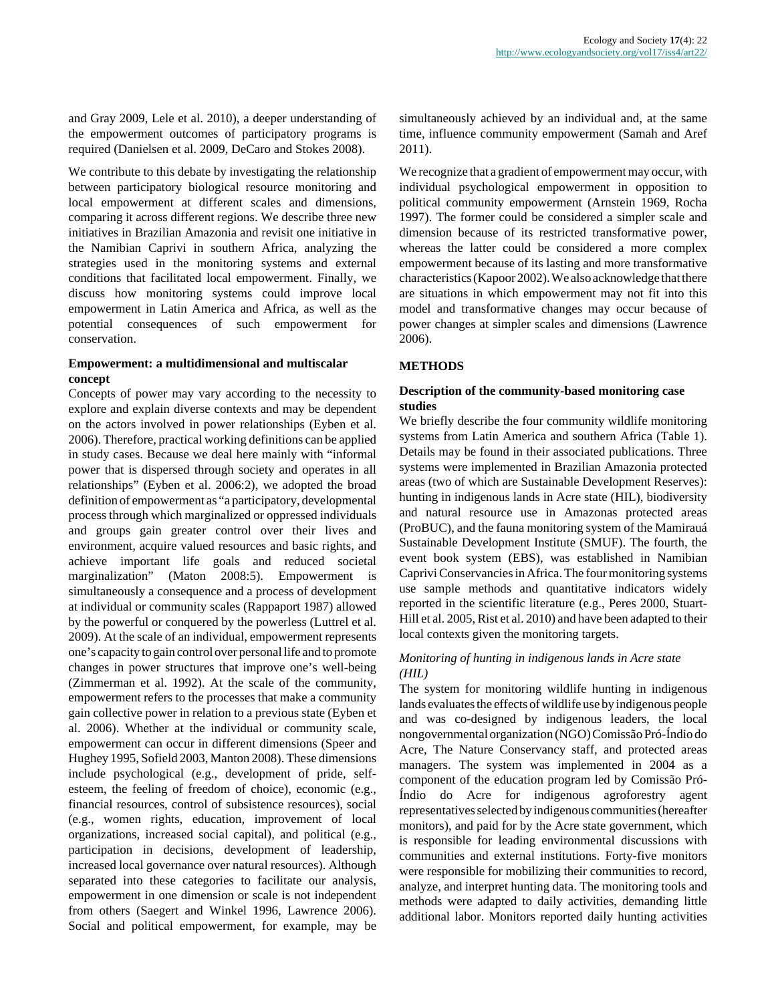and Gray 2009, Lele et al. 2010), a deeper understanding of the empowerment outcomes of participatory programs is required (Danielsen et al. 2009, DeCaro and Stokes 2008).

We contribute to this debate by investigating the relationship between participatory biological resource monitoring and local empowerment at different scales and dimensions, comparing it across different regions. We describe three new initiatives in Brazilian Amazonia and revisit one initiative in the Namibian Caprivi in southern Africa, analyzing the strategies used in the monitoring systems and external conditions that facilitated local empowerment. Finally, we discuss how monitoring systems could improve local empowerment in Latin America and Africa, as well as the potential consequences of such empowerment for conservation.

## **Empowerment: a multidimensional and multiscalar concept**

Concepts of power may vary according to the necessity to explore and explain diverse contexts and may be dependent on the actors involved in power relationships (Eyben et al. 2006). Therefore, practical working definitions can be applied in study cases. Because we deal here mainly with "informal power that is dispersed through society and operates in all relationships" (Eyben et al. 2006:2), we adopted the broad definition of empowerment as "a participatory, developmental process through which marginalized or oppressed individuals and groups gain greater control over their lives and environment, acquire valued resources and basic rights, and achieve important life goals and reduced societal marginalization" (Maton 2008:5). Empowerment is simultaneously a consequence and a process of development at individual or community scales (Rappaport 1987) allowed by the powerful or conquered by the powerless (Luttrel et al. 2009). At the scale of an individual, empowerment represents one's capacity to gain control over personal life and to promote changes in power structures that improve one's well-being (Zimmerman et al. 1992). At the scale of the community, empowerment refers to the processes that make a community gain collective power in relation to a previous state (Eyben et al. 2006). Whether at the individual or community scale, empowerment can occur in different dimensions (Speer and Hughey 1995, Sofield 2003, Manton 2008). These dimensions include psychological (e.g., development of pride, selfesteem, the feeling of freedom of choice), economic (e.g., financial resources, control of subsistence resources), social (e.g., women rights, education, improvement of local organizations, increased social capital), and political (e.g., participation in decisions, development of leadership, increased local governance over natural resources). Although separated into these categories to facilitate our analysis, empowerment in one dimension or scale is not independent from others (Saegert and Winkel 1996, Lawrence 2006). Social and political empowerment, for example, may be

simultaneously achieved by an individual and, at the same time, influence community empowerment (Samah and Aref 2011).

We recognize that a gradient of empowerment may occur, with individual psychological empowerment in opposition to political community empowerment (Arnstein 1969, Rocha 1997). The former could be considered a simpler scale and dimension because of its restricted transformative power, whereas the latter could be considered a more complex empowerment because of its lasting and more transformative characteristics (Kapoor 2002). We also acknowledge that there are situations in which empowerment may not fit into this model and transformative changes may occur because of power changes at simpler scales and dimensions (Lawrence 2006).

# **METHODS**

## **Description of the community-based monitoring case studies**

We briefly describe the four community wildlife monitoring systems from Latin America and southern Africa (Table 1). Details may be found in their associated publications. Three systems were implemented in Brazilian Amazonia protected areas (two of which are Sustainable Development Reserves): hunting in indigenous lands in Acre state (HIL), biodiversity and natural resource use in Amazonas protected areas (ProBUC), and the fauna monitoring system of the Mamirauá Sustainable Development Institute (SMUF). The fourth, the event book system (EBS), was established in Namibian Caprivi Conservancies in Africa. The four monitoring systems use sample methods and quantitative indicators widely reported in the scientific literature (e.g., Peres 2000, Stuart-Hill et al. 2005, Rist et al. 2010) and have been adapted to their local contexts given the monitoring targets.

## *Monitoring of hunting in indigenous lands in Acre state (HIL)*

The system for monitoring wildlife hunting in indigenous lands evaluates the effects of wildlife use by indigenous people and was co-designed by indigenous leaders, the local nongovernmental organization (NGO) Comissão Pró-Índio do Acre, The Nature Conservancy staff, and protected areas managers. The system was implemented in 2004 as a component of the education program led by Comissão Pró-Índio do Acre for indigenous agroforestry agent representatives selected by indigenous communities (hereafter monitors), and paid for by the Acre state government, which is responsible for leading environmental discussions with communities and external institutions. Forty-five monitors were responsible for mobilizing their communities to record, analyze, and interpret hunting data. The monitoring tools and methods were adapted to daily activities, demanding little additional labor. Monitors reported daily hunting activities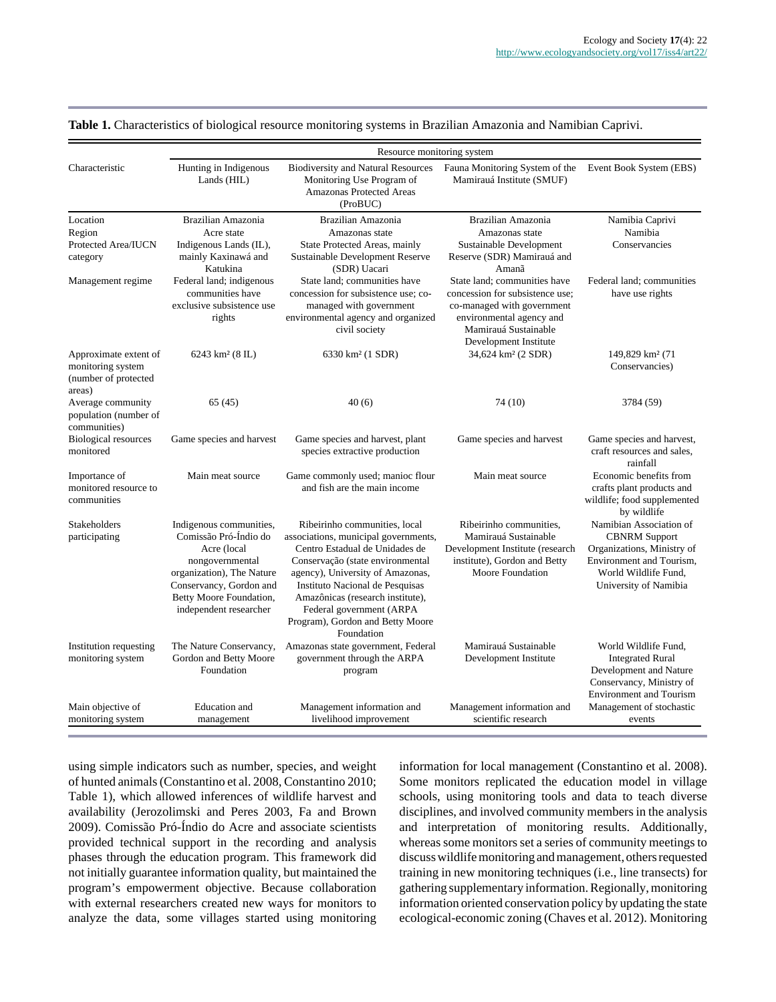|                                                                      | Resource monitoring system                                                                                                                                                                      |                                                                                                                                                                                                                                                                                                                                      |                                                                                                                                                                            |                                                                                                                                                            |  |  |  |
|----------------------------------------------------------------------|-------------------------------------------------------------------------------------------------------------------------------------------------------------------------------------------------|--------------------------------------------------------------------------------------------------------------------------------------------------------------------------------------------------------------------------------------------------------------------------------------------------------------------------------------|----------------------------------------------------------------------------------------------------------------------------------------------------------------------------|------------------------------------------------------------------------------------------------------------------------------------------------------------|--|--|--|
| Characteristic                                                       | Hunting in Indigenous<br>Lands (HIL)                                                                                                                                                            | <b>Biodiversity and Natural Resources</b><br>Monitoring Use Program of<br>Amazonas Protected Areas<br>(ProBUC)                                                                                                                                                                                                                       | Fauna Monitoring System of the<br>Mamirauá Institute (SMUF)                                                                                                                | Event Book System (EBS)                                                                                                                                    |  |  |  |
| Location<br>Region<br>Protected Area/IUCN<br>category                | Brazilian Amazonia<br>Acre state<br>Indigenous Lands (IL),<br>mainly Kaxinawá and<br>Katukina                                                                                                   | Brazilian Amazonia<br>Amazonas state<br>State Protected Areas, mainly<br><b>Sustainable Development Reserve</b><br>(SDR) Uacari                                                                                                                                                                                                      | Brazilian Amazonia<br>Amazonas state<br>Sustainable Development<br>Reserve (SDR) Mamirauá and<br>Amanã                                                                     | Namibia Caprivi<br>Namibia<br>Conservancies                                                                                                                |  |  |  |
| Management regime                                                    | Federal land; indigenous<br>communities have<br>exclusive subsistence use<br>rights                                                                                                             | State land; communities have<br>concession for subsistence use; co-<br>managed with government<br>environmental agency and organized<br>civil society                                                                                                                                                                                | State land; communities have<br>concession for subsistence use;<br>co-managed with government<br>environmental agency and<br>Mamirauá Sustainable<br>Development Institute | Federal land; communities<br>have use rights                                                                                                               |  |  |  |
| Approximate extent of<br>monitoring system<br>(number of protected   | 6243 km <sup>2</sup> (8 IL)                                                                                                                                                                     | 6330 km <sup>2</sup> (1 SDR)                                                                                                                                                                                                                                                                                                         | 34,624 km <sup>2</sup> (2 SDR)                                                                                                                                             | 149,829 km <sup>2</sup> (71<br>Conservancies)                                                                                                              |  |  |  |
| areas)<br>Average community<br>population (number of<br>communities) | 65 (45)                                                                                                                                                                                         | 40(6)                                                                                                                                                                                                                                                                                                                                | 74 (10)                                                                                                                                                                    | 3784 (59)                                                                                                                                                  |  |  |  |
| <b>Biological resources</b><br>monitored                             | Game species and harvest                                                                                                                                                                        | Game species and harvest, plant<br>species extractive production                                                                                                                                                                                                                                                                     | Game species and harvest                                                                                                                                                   | Game species and harvest,<br>craft resources and sales,<br>rainfall                                                                                        |  |  |  |
| Importance of<br>monitored resource to<br>communities                | Main meat source                                                                                                                                                                                | Game commonly used; manioc flour<br>and fish are the main income                                                                                                                                                                                                                                                                     | Main meat source                                                                                                                                                           | Economic benefits from<br>crafts plant products and<br>wildlife; food supplemented<br>by wildlife                                                          |  |  |  |
| <b>Stakeholders</b><br>participating                                 | Indigenous communities,<br>Comissão Pró-Índio do<br>Acre (local<br>nongovernmental<br>organization), The Nature<br>Conservancy, Gordon and<br>Betty Moore Foundation,<br>independent researcher | Ribeirinho communities, local<br>associations, municipal governments,<br>Centro Estadual de Unidades de<br>Conservação (state environmental<br>agency), University of Amazonas,<br>Instituto Nacional de Pesquisas<br>Amazônicas (research institute),<br>Federal government (ARPA<br>Program), Gordon and Betty Moore<br>Foundation | Ribeirinho communities,<br>Mamirauá Sustainable<br>Development Institute (research<br>institute), Gordon and Betty<br>Moore Foundation                                     | Namibian Association of<br><b>CBNRM</b> Support<br>Organizations, Ministry of<br>Environment and Tourism,<br>World Wildlife Fund,<br>University of Namibia |  |  |  |
| Institution requesting<br>monitoring system                          | The Nature Conservancy,<br>Gordon and Betty Moore<br>Foundation                                                                                                                                 | Amazonas state government, Federal<br>government through the ARPA<br>program                                                                                                                                                                                                                                                         | Mamirauá Sustainable<br>Development Institute                                                                                                                              | World Wildlife Fund,<br><b>Integrated Rural</b><br>Development and Nature<br>Conservancy, Ministry of<br><b>Environment and Tourism</b>                    |  |  |  |
| Main objective of<br>monitoring system                               | <b>Education</b> and<br>management                                                                                                                                                              | Management information and<br>livelihood improvement                                                                                                                                                                                                                                                                                 | Management information and<br>scientific research                                                                                                                          | Management of stochastic<br>events                                                                                                                         |  |  |  |

**Table 1.** Characteristics of biological resource monitoring systems in Brazilian Amazonia and Namibian Caprivi.

using simple indicators such as number, species, and weight of hunted animals (Constantino et al. 2008, Constantino 2010; Table 1), which allowed inferences of wildlife harvest and availability (Jerozolimski and Peres 2003, Fa and Brown 2009). Comissão Pró-Índio do Acre and associate scientists provided technical support in the recording and analysis phases through the education program. This framework did not initially guarantee information quality, but maintained the program's empowerment objective. Because collaboration with external researchers created new ways for monitors to analyze the data, some villages started using monitoring information for local management (Constantino et al. 2008). Some monitors replicated the education model in village schools, using monitoring tools and data to teach diverse disciplines, and involved community members in the analysis and interpretation of monitoring results. Additionally, whereas some monitors set a series of community meetings to discuss wildlife monitoring and management, others requested training in new monitoring techniques (i.e., line transects) for gathering supplementary information. Regionally, monitoring information oriented conservation policy by updating the state ecological-economic zoning (Chaves et al. 2012). Monitoring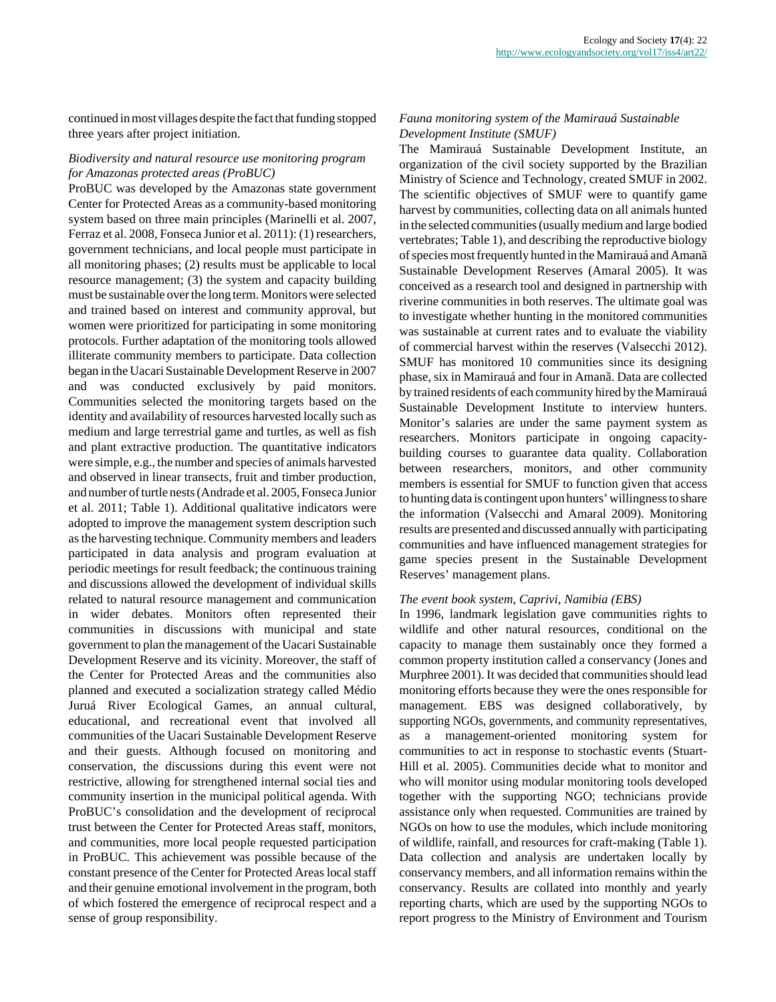continued in most villages despite the fact that funding stopped three years after project initiation.

#### *Biodiversity and natural resource use monitoring program for Amazonas protected areas (ProBUC)*

ProBUC was developed by the Amazonas state government Center for Protected Areas as a community-based monitoring system based on three main principles (Marinelli et al. 2007, Ferraz et al. 2008, Fonseca Junior et al. 2011): (1) researchers, government technicians, and local people must participate in all monitoring phases; (2) results must be applicable to local resource management; (3) the system and capacity building must be sustainable over the long term. Monitors were selected and trained based on interest and community approval, but women were prioritized for participating in some monitoring protocols. Further adaptation of the monitoring tools allowed illiterate community members to participate. Data collection began in the Uacari Sustainable Development Reserve in 2007 and was conducted exclusively by paid monitors. Communities selected the monitoring targets based on the identity and availability of resources harvested locally such as medium and large terrestrial game and turtles, as well as fish and plant extractive production. The quantitative indicators were simple, e.g., the number and species of animals harvested and observed in linear transects, fruit and timber production, and number of turtle nests (Andrade et al. 2005, Fonseca Junior et al. 2011; Table 1). Additional qualitative indicators were adopted to improve the management system description such as the harvesting technique. Community members and leaders participated in data analysis and program evaluation at periodic meetings for result feedback; the continuous training and discussions allowed the development of individual skills related to natural resource management and communication in wider debates. Monitors often represented their communities in discussions with municipal and state government to plan the management of the Uacari Sustainable Development Reserve and its vicinity. Moreover, the staff of the Center for Protected Areas and the communities also planned and executed a socialization strategy called Médio Juruá River Ecological Games, an annual cultural, educational, and recreational event that involved all communities of the Uacari Sustainable Development Reserve and their guests. Although focused on monitoring and conservation, the discussions during this event were not restrictive, allowing for strengthened internal social ties and community insertion in the municipal political agenda. With ProBUC's consolidation and the development of reciprocal trust between the Center for Protected Areas staff, monitors, and communities, more local people requested participation in ProBUC. This achievement was possible because of the constant presence of the Center for Protected Areas local staff and their genuine emotional involvement in the program, both of which fostered the emergence of reciprocal respect and a sense of group responsibility.

## *Fauna monitoring system of the Mamirauá Sustainable Development Institute (SMUF)*

The Mamirauá Sustainable Development Institute, an organization of the civil society supported by the Brazilian Ministry of Science and Technology, created SMUF in 2002. The scientific objectives of SMUF were to quantify game harvest by communities, collecting data on all animals hunted in the selected communities (usually medium and large bodied vertebrates; Table 1), and describing the reproductive biology of species most frequently hunted in the Mamirauá and Amanã Sustainable Development Reserves (Amaral 2005). It was conceived as a research tool and designed in partnership with riverine communities in both reserves. The ultimate goal was to investigate whether hunting in the monitored communities was sustainable at current rates and to evaluate the viability of commercial harvest within the reserves (Valsecchi 2012). SMUF has monitored 10 communities since its designing phase, six in Mamirauá and four in Amanã. Data are collected by trained residents of each community hired by the Mamirauá Sustainable Development Institute to interview hunters. Monitor's salaries are under the same payment system as researchers. Monitors participate in ongoing capacitybuilding courses to guarantee data quality. Collaboration between researchers, monitors, and other community members is essential for SMUF to function given that access to hunting data is contingent upon hunters' willingness to share the information (Valsecchi and Amaral 2009). Monitoring results are presented and discussed annually with participating communities and have influenced management strategies for game species present in the Sustainable Development Reserves' management plans.

#### *The event book system, Caprivi, Namibia (EBS)*

In 1996, landmark legislation gave communities rights to wildlife and other natural resources, conditional on the capacity to manage them sustainably once they formed a common property institution called a conservancy (Jones and Murphree 2001). It was decided that communities should lead monitoring efforts because they were the ones responsible for management. EBS was designed collaboratively, by supporting NGOs, governments, and community representatives, as a management-oriented monitoring system for communities to act in response to stochastic events (Stuart-Hill et al. 2005). Communities decide what to monitor and who will monitor using modular monitoring tools developed together with the supporting NGO; technicians provide assistance only when requested. Communities are trained by NGOs on how to use the modules, which include monitoring of wildlife, rainfall, and resources for craft-making (Table 1). Data collection and analysis are undertaken locally by conservancy members, and all information remains within the conservancy. Results are collated into monthly and yearly reporting charts, which are used by the supporting NGOs to report progress to the Ministry of Environment and Tourism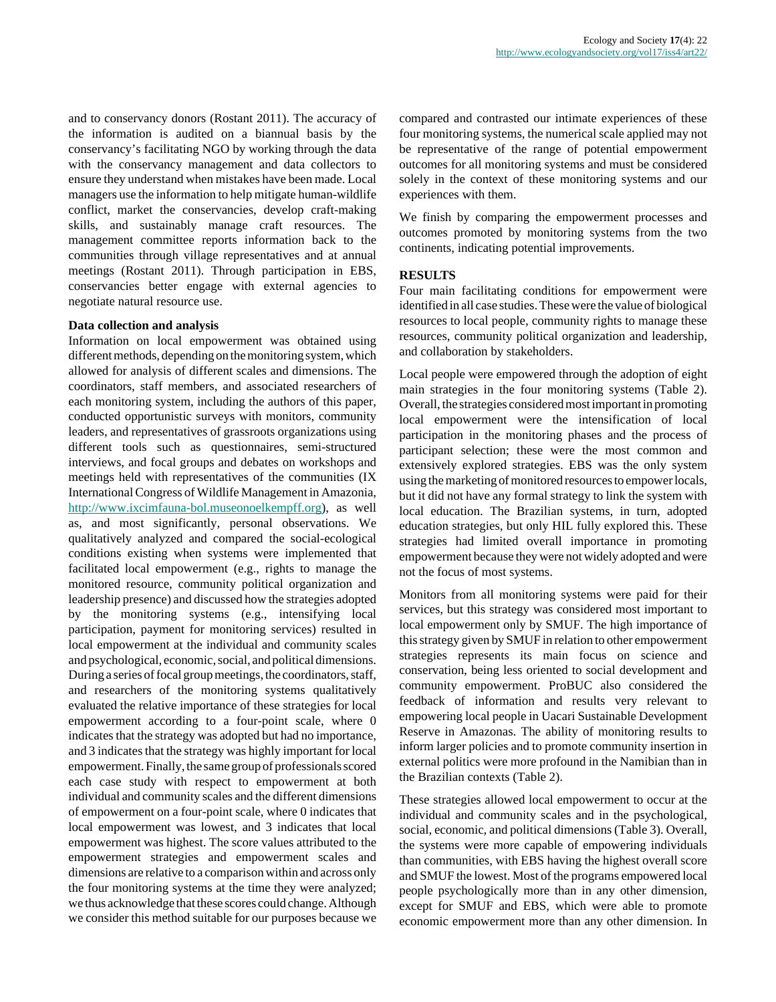and to conservancy donors (Rostant 2011). The accuracy of the information is audited on a biannual basis by the conservancy's facilitating NGO by working through the data with the conservancy management and data collectors to ensure they understand when mistakes have been made. Local managers use the information to help mitigate human-wildlife conflict, market the conservancies, develop craft-making skills, and sustainably manage craft resources. The management committee reports information back to the communities through village representatives and at annual meetings (Rostant 2011). Through participation in EBS, conservancies better engage with external agencies to negotiate natural resource use.

#### **Data collection and analysis**

Information on local empowerment was obtained using different methods, depending on the monitoring system, which allowed for analysis of different scales and dimensions. The coordinators, staff members, and associated researchers of each monitoring system, including the authors of this paper, conducted opportunistic surveys with monitors, community leaders, and representatives of grassroots organizations using different tools such as questionnaires, semi-structured interviews, and focal groups and debates on workshops and meetings held with representatives of the communities (IX International Congress of Wildlife Management in Amazonia, [http://www.ixcimfauna-bol.museonoelkempff.org\)](http://www.ixcimfauna-bol.museonoelkempff.org/), as well as, and most significantly, personal observations. We qualitatively analyzed and compared the social-ecological conditions existing when systems were implemented that facilitated local empowerment (e.g., rights to manage the monitored resource, community political organization and leadership presence) and discussed how the strategies adopted by the monitoring systems (e.g., intensifying local participation, payment for monitoring services) resulted in local empowerment at the individual and community scales and psychological, economic, social, and political dimensions. During a series of focal group meetings, the coordinators, staff, and researchers of the monitoring systems qualitatively evaluated the relative importance of these strategies for local empowerment according to a four-point scale, where 0 indicates that the strategy was adopted but had no importance, and 3 indicates that the strategy was highly important for local empowerment. Finally, the same group of professionals scored each case study with respect to empowerment at both individual and community scales and the different dimensions of empowerment on a four-point scale, where 0 indicates that local empowerment was lowest, and 3 indicates that local empowerment was highest. The score values attributed to the empowerment strategies and empowerment scales and dimensions are relative to a comparison within and across only the four monitoring systems at the time they were analyzed; we thus acknowledge that these scores could change. Although we consider this method suitable for our purposes because we

compared and contrasted our intimate experiences of these four monitoring systems, the numerical scale applied may not be representative of the range of potential empowerment outcomes for all monitoring systems and must be considered solely in the context of these monitoring systems and our experiences with them.

We finish by comparing the empowerment processes and outcomes promoted by monitoring systems from the two continents, indicating potential improvements.

## **RESULTS**

Four main facilitating conditions for empowerment were identified in all case studies. These were the value of biological resources to local people, community rights to manage these resources, community political organization and leadership, and collaboration by stakeholders.

Local people were empowered through the adoption of eight main strategies in the four monitoring systems (Table 2). Overall, the strategies considered most important in promoting local empowerment were the intensification of local participation in the monitoring phases and the process of participant selection; these were the most common and extensively explored strategies. EBS was the only system using the marketing of monitored resources to empower locals, but it did not have any formal strategy to link the system with local education. The Brazilian systems, in turn, adopted education strategies, but only HIL fully explored this. These strategies had limited overall importance in promoting empowerment because they were not widely adopted and were not the focus of most systems.

Monitors from all monitoring systems were paid for their services, but this strategy was considered most important to local empowerment only by SMUF. The high importance of this strategy given by SMUF in relation to other empowerment strategies represents its main focus on science and conservation, being less oriented to social development and community empowerment. ProBUC also considered the feedback of information and results very relevant to empowering local people in Uacari Sustainable Development Reserve in Amazonas. The ability of monitoring results to inform larger policies and to promote community insertion in external politics were more profound in the Namibian than in the Brazilian contexts (Table 2).

These strategies allowed local empowerment to occur at the individual and community scales and in the psychological, social, economic, and political dimensions (Table 3). Overall, the systems were more capable of empowering individuals than communities, with EBS having the highest overall score and SMUF the lowest. Most of the programs empowered local people psychologically more than in any other dimension, except for SMUF and EBS, which were able to promote economic empowerment more than any other dimension. In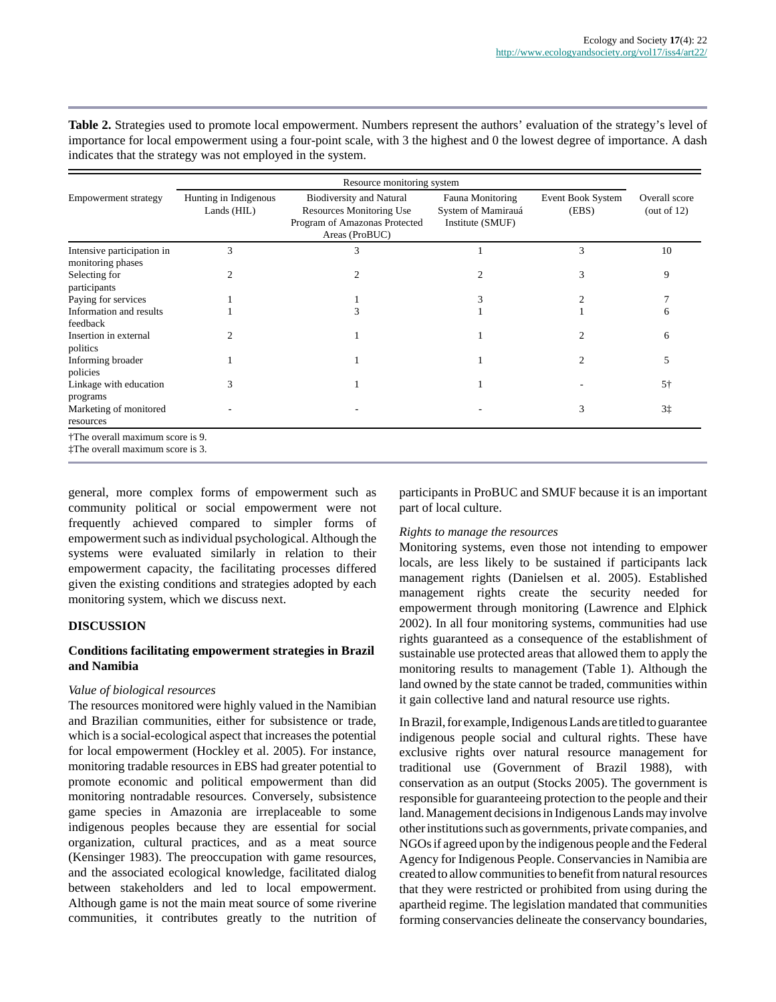**Table 2.** Strategies used to promote local empowerment. Numbers represent the authors' evaluation of the strategy's level of importance for local empowerment using a four-point scale, with 3 the highest and 0 the lowest degree of importance. A dash indicates that the strategy was not employed in the system.

|                                                                                              | Resource monitoring system           |                                                                                                                |                                                            |                            |                                 |  |
|----------------------------------------------------------------------------------------------|--------------------------------------|----------------------------------------------------------------------------------------------------------------|------------------------------------------------------------|----------------------------|---------------------------------|--|
| <b>Empowerment strategy</b>                                                                  | Hunting in Indigenous<br>Lands (HIL) | <b>Biodiversity and Natural</b><br>Resources Monitoring Use<br>Program of Amazonas Protected<br>Areas (ProBUC) | Fauna Monitoring<br>System of Mamirauá<br>Institute (SMUF) | Event Book System<br>(EBS) | Overall score<br>(out of $12$ ) |  |
| Intensive participation in<br>monitoring phases                                              | 3                                    |                                                                                                                |                                                            | 3                          | 10                              |  |
| Selecting for<br>participants                                                                | $\mathfrak{D}$                       |                                                                                                                | $\overline{c}$                                             | 3                          | 9                               |  |
| Paying for services                                                                          |                                      |                                                                                                                |                                                            |                            |                                 |  |
| Information and results<br>feedback                                                          |                                      |                                                                                                                |                                                            |                            | 6                               |  |
| Insertion in external<br>politics                                                            |                                      |                                                                                                                |                                                            | 2                          | 6                               |  |
| Informing broader<br>policies                                                                |                                      |                                                                                                                |                                                            | 2                          | 5                               |  |
| Linkage with education<br>programs                                                           | 3                                    |                                                                                                                |                                                            |                            | $5+$                            |  |
| Marketing of monitored<br>resources                                                          |                                      |                                                                                                                |                                                            | 3                          | $3\ddagger$                     |  |
| <sup>†</sup> The overall maximum score is 9.<br><sup>†</sup> The overall maximum score is 3. |                                      |                                                                                                                |                                                            |                            |                                 |  |

general, more complex forms of empowerment such as community political or social empowerment were not frequently achieved compared to simpler forms of empowerment such as individual psychological. Although the systems were evaluated similarly in relation to their empowerment capacity, the facilitating processes differed given the existing conditions and strategies adopted by each monitoring system, which we discuss next.

## **DISCUSSION**

## **Conditions facilitating empowerment strategies in Brazil and Namibia**

#### *Value of biological resources*

The resources monitored were highly valued in the Namibian and Brazilian communities, either for subsistence or trade, which is a social-ecological aspect that increases the potential for local empowerment (Hockley et al. 2005). For instance, monitoring tradable resources in EBS had greater potential to promote economic and political empowerment than did monitoring nontradable resources. Conversely, subsistence game species in Amazonia are irreplaceable to some indigenous peoples because they are essential for social organization, cultural practices, and as a meat source (Kensinger 1983). The preoccupation with game resources, and the associated ecological knowledge, facilitated dialog between stakeholders and led to local empowerment. Although game is not the main meat source of some riverine communities, it contributes greatly to the nutrition of

participants in ProBUC and SMUF because it is an important part of local culture.

#### *Rights to manage the resources*

Monitoring systems, even those not intending to empower locals, are less likely to be sustained if participants lack management rights (Danielsen et al. 2005). Established management rights create the security needed for empowerment through monitoring (Lawrence and Elphick 2002). In all four monitoring systems, communities had use rights guaranteed as a consequence of the establishment of sustainable use protected areas that allowed them to apply the monitoring results to management (Table 1). Although the land owned by the state cannot be traded, communities within it gain collective land and natural resource use rights.

In Brazil, for example, Indigenous Lands are titled to guarantee indigenous people social and cultural rights. These have exclusive rights over natural resource management for traditional use (Government of Brazil 1988), with conservation as an output (Stocks 2005). The government is responsible for guaranteeing protection to the people and their land. Management decisions in Indigenous Lands may involve other institutions such as governments, private companies, and NGOs if agreed upon by the indigenous people and the Federal Agency for Indigenous People. Conservancies in Namibia are created to allow communities to benefit from natural resources that they were restricted or prohibited from using during the apartheid regime. The legislation mandated that communities forming conservancies delineate the conservancy boundaries,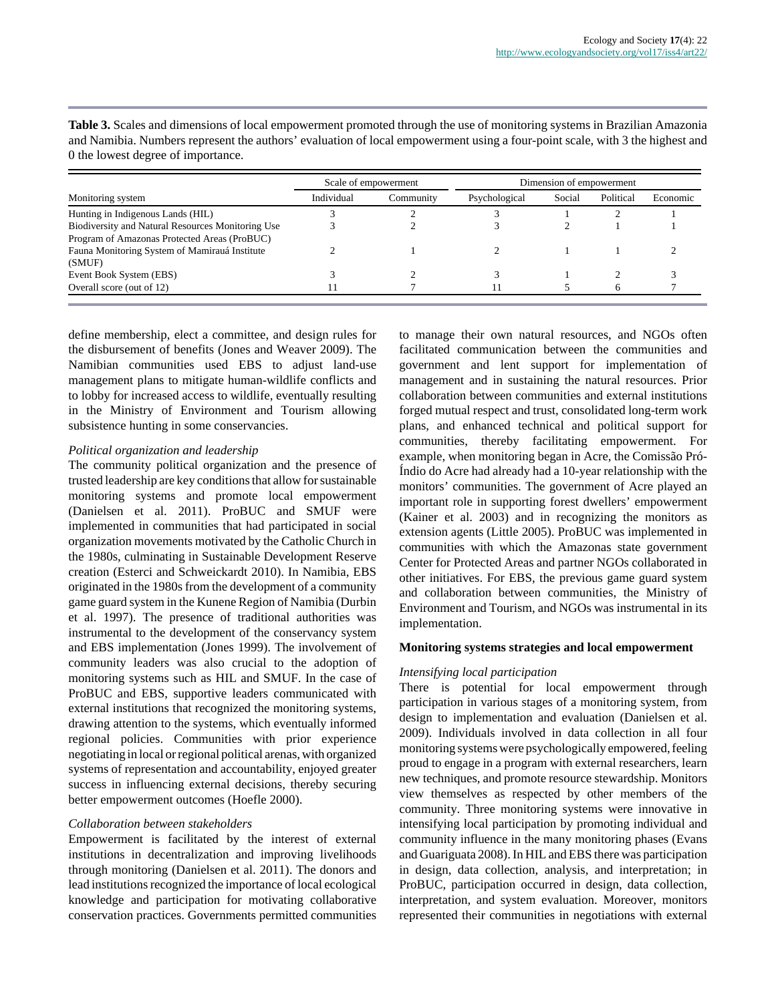|                                                   | Scale of empowerment |           | Dimension of empowerment |        |           |          |
|---------------------------------------------------|----------------------|-----------|--------------------------|--------|-----------|----------|
| Monitoring system                                 | Individual           | Community | Psychological            | Social | Political | Economic |
| Hunting in Indigenous Lands (HIL)                 |                      |           |                          |        |           |          |
| Biodiversity and Natural Resources Monitoring Use |                      |           |                          |        |           |          |
| Program of Amazonas Protected Areas (ProBUC)      |                      |           |                          |        |           |          |
| Fauna Monitoring System of Mamirauá Institute     |                      |           |                          |        |           |          |
| (SMUF)                                            |                      |           |                          |        |           |          |
| Event Book System (EBS)                           |                      |           |                          |        |           |          |
| Overall score (out of 12)                         |                      |           | 11                       |        |           |          |

**Table 3.** Scales and dimensions of local empowerment promoted through the use of monitoring systems in Brazilian Amazonia and Namibia. Numbers represent the authors' evaluation of local empowerment using a four-point scale, with 3 the highest and 0 the lowest degree of importance.

define membership, elect a committee, and design rules for the disbursement of benefits (Jones and Weaver 2009). The Namibian communities used EBS to adjust land-use management plans to mitigate human-wildlife conflicts and to lobby for increased access to wildlife, eventually resulting in the Ministry of Environment and Tourism allowing subsistence hunting in some conservancies.

## *Political organization and leadership*

The community political organization and the presence of trusted leadership are key conditions that allow for sustainable monitoring systems and promote local empowerment (Danielsen et al. 2011). ProBUC and SMUF were implemented in communities that had participated in social organization movements motivated by the Catholic Church in the 1980s, culminating in Sustainable Development Reserve creation (Esterci and Schweickardt 2010). In Namibia, EBS originated in the 1980s from the development of a community game guard system in the Kunene Region of Namibia (Durbin et al. 1997). The presence of traditional authorities was instrumental to the development of the conservancy system and EBS implementation (Jones 1999). The involvement of community leaders was also crucial to the adoption of monitoring systems such as HIL and SMUF. In the case of ProBUC and EBS, supportive leaders communicated with external institutions that recognized the monitoring systems, drawing attention to the systems, which eventually informed regional policies. Communities with prior experience negotiating in local or regional political arenas, with organized systems of representation and accountability, enjoyed greater success in influencing external decisions, thereby securing better empowerment outcomes (Hoefle 2000).

## *Collaboration between stakeholders*

Empowerment is facilitated by the interest of external institutions in decentralization and improving livelihoods through monitoring (Danielsen et al. 2011). The donors and lead institutions recognized the importance of local ecological knowledge and participation for motivating collaborative conservation practices. Governments permitted communities to manage their own natural resources, and NGOs often facilitated communication between the communities and government and lent support for implementation of management and in sustaining the natural resources. Prior collaboration between communities and external institutions forged mutual respect and trust, consolidated long-term work plans, and enhanced technical and political support for communities, thereby facilitating empowerment. For example, when monitoring began in Acre, the Comissão Pró-Índio do Acre had already had a 10-year relationship with the monitors' communities. The government of Acre played an important role in supporting forest dwellers' empowerment (Kainer et al. 2003) and in recognizing the monitors as extension agents (Little 2005). ProBUC was implemented in communities with which the Amazonas state government Center for Protected Areas and partner NGOs collaborated in other initiatives. For EBS, the previous game guard system and collaboration between communities, the Ministry of Environment and Tourism, and NGOs was instrumental in its implementation.

#### **Monitoring systems strategies and local empowerment**

## *Intensifying local participation*

There is potential for local empowerment through participation in various stages of a monitoring system, from design to implementation and evaluation (Danielsen et al. 2009). Individuals involved in data collection in all four monitoring systems were psychologically empowered, feeling proud to engage in a program with external researchers, learn new techniques, and promote resource stewardship. Monitors view themselves as respected by other members of the community. Three monitoring systems were innovative in intensifying local participation by promoting individual and community influence in the many monitoring phases (Evans and Guariguata 2008). In HIL and EBS there was participation in design, data collection, analysis, and interpretation; in ProBUC, participation occurred in design, data collection, interpretation, and system evaluation. Moreover, monitors represented their communities in negotiations with external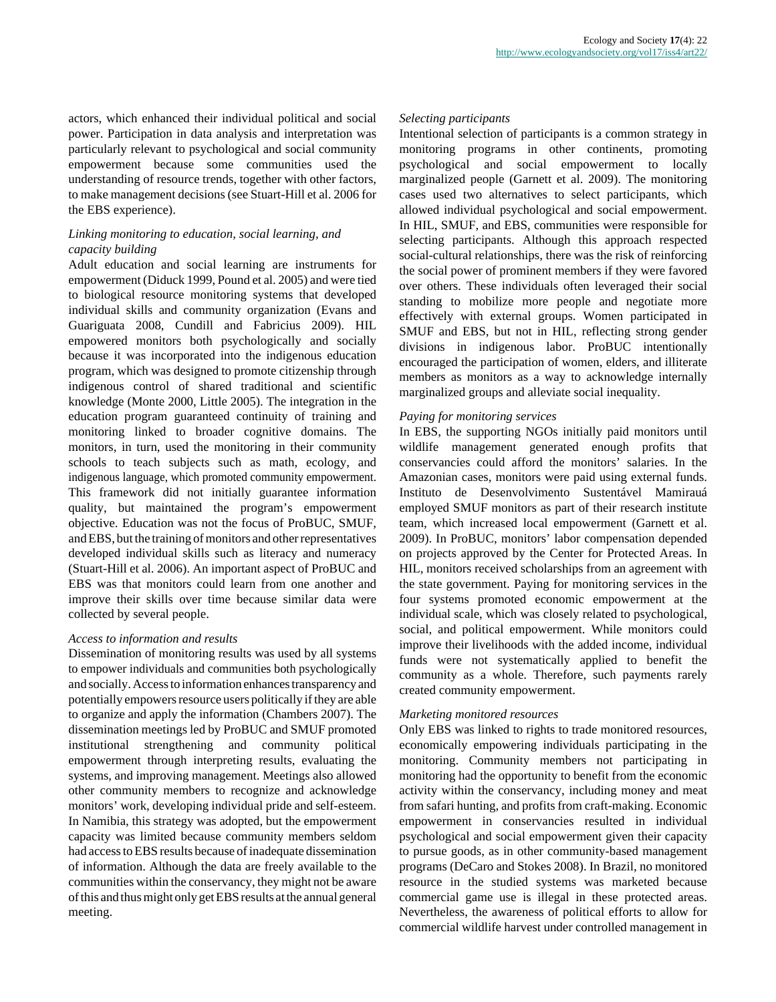actors, which enhanced their individual political and social power. Participation in data analysis and interpretation was particularly relevant to psychological and social community empowerment because some communities used the understanding of resource trends, together with other factors, to make management decisions (see Stuart-Hill et al. 2006 for the EBS experience).

## *Linking monitoring to education, social learning, and capacity building*

Adult education and social learning are instruments for empowerment (Diduck 1999, Pound et al. 2005) and were tied to biological resource monitoring systems that developed individual skills and community organization (Evans and Guariguata 2008, Cundill and Fabricius 2009). HIL empowered monitors both psychologically and socially because it was incorporated into the indigenous education program, which was designed to promote citizenship through indigenous control of shared traditional and scientific knowledge (Monte 2000, Little 2005). The integration in the education program guaranteed continuity of training and monitoring linked to broader cognitive domains. The monitors, in turn, used the monitoring in their community schools to teach subjects such as math, ecology, and indigenous language, which promoted community empowerment. This framework did not initially guarantee information quality, but maintained the program's empowerment objective. Education was not the focus of ProBUC, SMUF, and EBS, but the training of monitors and other representatives developed individual skills such as literacy and numeracy (Stuart-Hill et al. 2006). An important aspect of ProBUC and EBS was that monitors could learn from one another and improve their skills over time because similar data were collected by several people.

#### *Access to information and results*

Dissemination of monitoring results was used by all systems to empower individuals and communities both psychologically and socially. Access to information enhances transparency and potentially empowers resource users politically if they are able to organize and apply the information (Chambers 2007). The dissemination meetings led by ProBUC and SMUF promoted institutional strengthening and community political empowerment through interpreting results, evaluating the systems, and improving management. Meetings also allowed other community members to recognize and acknowledge monitors' work, developing individual pride and self-esteem. In Namibia, this strategy was adopted, but the empowerment capacity was limited because community members seldom had access to EBS results because of inadequate dissemination of information. Although the data are freely available to the communities within the conservancy, they might not be aware of this and thus might only get EBS results at the annual general meeting.

#### *Selecting participants*

Intentional selection of participants is a common strategy in monitoring programs in other continents, promoting psychological and social empowerment to locally marginalized people (Garnett et al. 2009). The monitoring cases used two alternatives to select participants, which allowed individual psychological and social empowerment. In HIL, SMUF, and EBS, communities were responsible for selecting participants. Although this approach respected social-cultural relationships, there was the risk of reinforcing the social power of prominent members if they were favored over others. These individuals often leveraged their social standing to mobilize more people and negotiate more effectively with external groups. Women participated in SMUF and EBS, but not in HIL, reflecting strong gender divisions in indigenous labor. ProBUC intentionally encouraged the participation of women, elders, and illiterate members as monitors as a way to acknowledge internally marginalized groups and alleviate social inequality.

## *Paying for monitoring services*

In EBS, the supporting NGOs initially paid monitors until wildlife management generated enough profits that conservancies could afford the monitors' salaries. In the Amazonian cases, monitors were paid using external funds. Instituto de Desenvolvimento Sustentável Mamirauá employed SMUF monitors as part of their research institute team, which increased local empowerment (Garnett et al. 2009). In ProBUC, monitors' labor compensation depended on projects approved by the Center for Protected Areas. In HIL, monitors received scholarships from an agreement with the state government. Paying for monitoring services in the four systems promoted economic empowerment at the individual scale, which was closely related to psychological, social, and political empowerment. While monitors could improve their livelihoods with the added income, individual funds were not systematically applied to benefit the community as a whole. Therefore, such payments rarely created community empowerment.

#### *Marketing monitored resources*

Only EBS was linked to rights to trade monitored resources, economically empowering individuals participating in the monitoring. Community members not participating in monitoring had the opportunity to benefit from the economic activity within the conservancy, including money and meat from safari hunting, and profits from craft-making. Economic empowerment in conservancies resulted in individual psychological and social empowerment given their capacity to pursue goods, as in other community-based management programs (DeCaro and Stokes 2008). In Brazil, no monitored resource in the studied systems was marketed because commercial game use is illegal in these protected areas. Nevertheless, the awareness of political efforts to allow for commercial wildlife harvest under controlled management in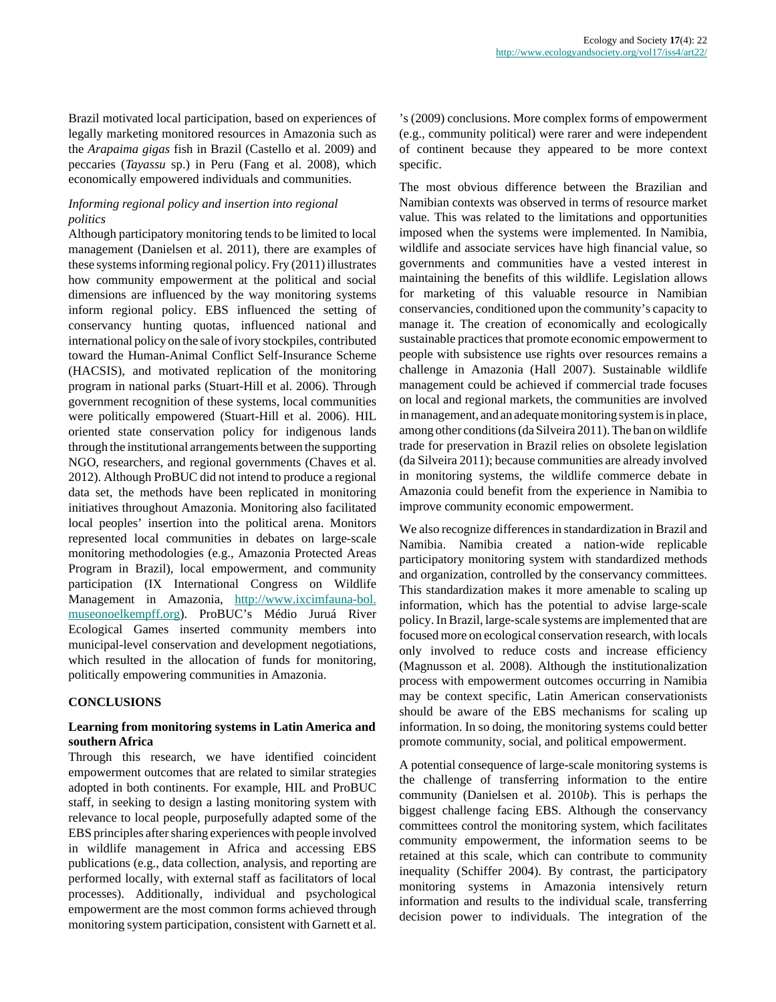Brazil motivated local participation, based on experiences of legally marketing monitored resources in Amazonia such as the *Arapaima gigas* fish in Brazil (Castello et al. 2009) and peccaries (*Tayassu* sp.) in Peru (Fang et al. 2008), which economically empowered individuals and communities.

## *Informing regional policy and insertion into regional politics*

Although participatory monitoring tends to be limited to local management (Danielsen et al. 2011), there are examples of these systems informing regional policy. Fry (2011) illustrates how community empowerment at the political and social dimensions are influenced by the way monitoring systems inform regional policy. EBS influenced the setting of conservancy hunting quotas, influenced national and international policy on the sale of ivory stockpiles, contributed toward the Human-Animal Conflict Self-Insurance Scheme (HACSIS), and motivated replication of the monitoring program in national parks (Stuart-Hill et al. 2006). Through government recognition of these systems, local communities were politically empowered (Stuart-Hill et al. 2006). HIL oriented state conservation policy for indigenous lands through the institutional arrangements between the supporting NGO, researchers, and regional governments (Chaves et al. 2012). Although ProBUC did not intend to produce a regional data set, the methods have been replicated in monitoring initiatives throughout Amazonia. Monitoring also facilitated local peoples' insertion into the political arena. Monitors represented local communities in debates on large-scale monitoring methodologies (e.g., Amazonia Protected Areas Program in Brazil), local empowerment, and community participation (IX International Congress on Wildlife Management in Amazonia, [http://www.ixcimfauna-bol.](http://www.ixcimfauna-bol.museonoelkempff.org/) [museonoelkempff.org](http://www.ixcimfauna-bol.museonoelkempff.org/)). ProBUC's Médio Juruá River Ecological Games inserted community members into municipal-level conservation and development negotiations, which resulted in the allocation of funds for monitoring, politically empowering communities in Amazonia.

# **CONCLUSIONS**

## **Learning from monitoring systems in Latin America and southern Africa**

Through this research, we have identified coincident empowerment outcomes that are related to similar strategies adopted in both continents. For example, HIL and ProBUC staff, in seeking to design a lasting monitoring system with relevance to local people, purposefully adapted some of the EBS principles after sharing experiences with people involved in wildlife management in Africa and accessing EBS publications (e.g., data collection, analysis, and reporting are performed locally, with external staff as facilitators of local processes). Additionally, individual and psychological empowerment are the most common forms achieved through monitoring system participation, consistent with Garnett et al. 's (2009) conclusions. More complex forms of empowerment (e.g., community political) were rarer and were independent of continent because they appeared to be more context specific.

The most obvious difference between the Brazilian and Namibian contexts was observed in terms of resource market value. This was related to the limitations and opportunities imposed when the systems were implemented. In Namibia, wildlife and associate services have high financial value, so governments and communities have a vested interest in maintaining the benefits of this wildlife. Legislation allows for marketing of this valuable resource in Namibian conservancies, conditioned upon the community's capacity to manage it. The creation of economically and ecologically sustainable practices that promote economic empowerment to people with subsistence use rights over resources remains a challenge in Amazonia (Hall 2007). Sustainable wildlife management could be achieved if commercial trade focuses on local and regional markets, the communities are involved in management, and an adequate monitoring system is in place, among other conditions (da Silveira 2011). The ban on wildlife trade for preservation in Brazil relies on obsolete legislation (da Silveira 2011); because communities are already involved in monitoring systems, the wildlife commerce debate in Amazonia could benefit from the experience in Namibia to improve community economic empowerment.

We also recognize differences in standardization in Brazil and Namibia. Namibia created a nation-wide replicable participatory monitoring system with standardized methods and organization, controlled by the conservancy committees. This standardization makes it more amenable to scaling up information, which has the potential to advise large-scale policy. In Brazil, large-scale systems are implemented that are focused more on ecological conservation research, with locals only involved to reduce costs and increase efficiency (Magnusson et al. 2008). Although the institutionalization process with empowerment outcomes occurring in Namibia may be context specific, Latin American conservationists should be aware of the EBS mechanisms for scaling up information. In so doing, the monitoring systems could better promote community, social, and political empowerment.

A potential consequence of large-scale monitoring systems is the challenge of transferring information to the entire community (Danielsen et al. 2010*b*). This is perhaps the biggest challenge facing EBS. Although the conservancy committees control the monitoring system, which facilitates community empowerment, the information seems to be retained at this scale, which can contribute to community inequality (Schiffer 2004). By contrast, the participatory monitoring systems in Amazonia intensively return information and results to the individual scale, transferring decision power to individuals. The integration of the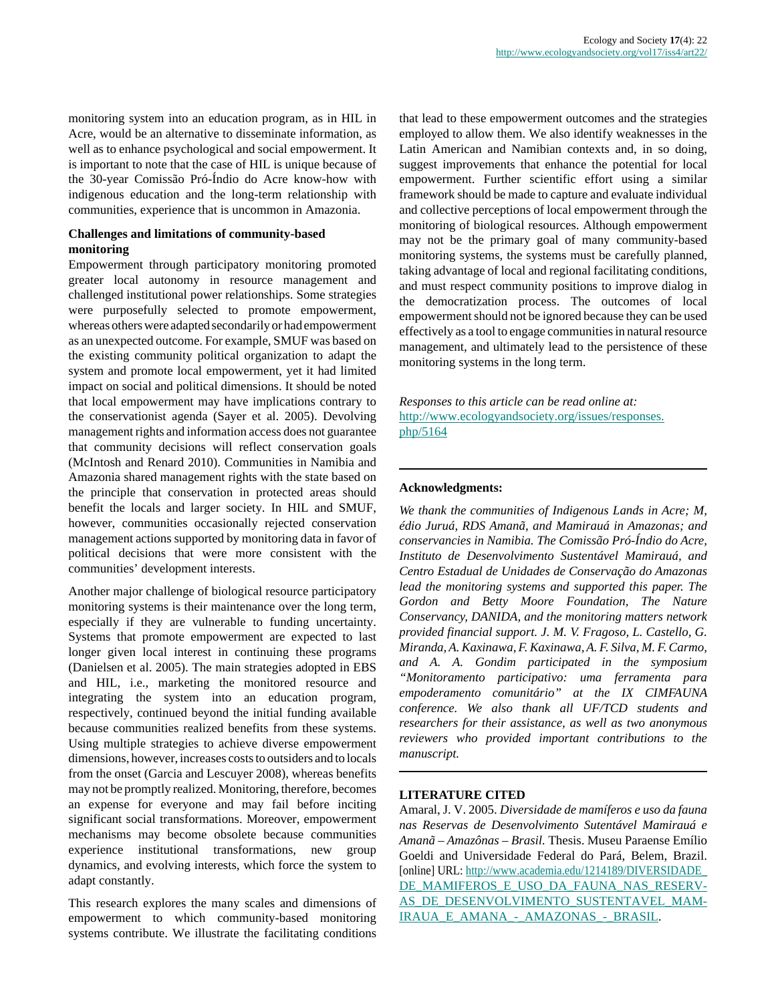monitoring system into an education program, as in HIL in Acre, would be an alternative to disseminate information, as well as to enhance psychological and social empowerment. It is important to note that the case of HIL is unique because of the 30-year Comissão Pró-Índio do Acre know-how with indigenous education and the long-term relationship with communities, experience that is uncommon in Amazonia.

## **Challenges and limitations of community-based monitoring**

Empowerment through participatory monitoring promoted greater local autonomy in resource management and challenged institutional power relationships. Some strategies were purposefully selected to promote empowerment, whereas others were adapted secondarily or had empowerment as an unexpected outcome. For example, SMUF was based on the existing community political organization to adapt the system and promote local empowerment, yet it had limited impact on social and political dimensions. It should be noted that local empowerment may have implications contrary to the conservationist agenda (Sayer et al. 2005). Devolving management rights and information access does not guarantee that community decisions will reflect conservation goals (McIntosh and Renard 2010). Communities in Namibia and Amazonia shared management rights with the state based on the principle that conservation in protected areas should benefit the locals and larger society. In HIL and SMUF, however, communities occasionally rejected conservation management actions supported by monitoring data in favor of political decisions that were more consistent with the communities' development interests.

Another major challenge of biological resource participatory monitoring systems is their maintenance over the long term, especially if they are vulnerable to funding uncertainty. Systems that promote empowerment are expected to last longer given local interest in continuing these programs (Danielsen et al. 2005). The main strategies adopted in EBS and HIL, i.e., marketing the monitored resource and integrating the system into an education program, respectively, continued beyond the initial funding available because communities realized benefits from these systems. Using multiple strategies to achieve diverse empowerment dimensions, however, increases costs to outsiders and to locals from the onset (Garcia and Lescuyer 2008), whereas benefits may not be promptly realized. Monitoring, therefore, becomes an expense for everyone and may fail before inciting significant social transformations. Moreover, empowerment mechanisms may become obsolete because communities experience institutional transformations, new group dynamics, and evolving interests, which force the system to adapt constantly.

This research explores the many scales and dimensions of empowerment to which community-based monitoring systems contribute. We illustrate the facilitating conditions

that lead to these empowerment outcomes and the strategies employed to allow them. We also identify weaknesses in the Latin American and Namibian contexts and, in so doing, suggest improvements that enhance the potential for local empowerment. Further scientific effort using a similar framework should be made to capture and evaluate individual and collective perceptions of local empowerment through the monitoring of biological resources. Although empowerment may not be the primary goal of many community-based monitoring systems, the systems must be carefully planned, taking advantage of local and regional facilitating conditions, and must respect community positions to improve dialog in the democratization process. The outcomes of local empowerment should not be ignored because they can be used effectively as a tool to engage communities in natural resource management, and ultimately lead to the persistence of these monitoring systems in the long term.

*Responses to this article can be read online at:* [http://www.ecologyandsociety.org/issues/responses.](http://www.ecologyandsociety.org/issues/responses.php/5164) [php/5164](http://www.ecologyandsociety.org/issues/responses.php/5164)

#### **Acknowledgments:**

*We thank the communities of Indigenous Lands in Acre; M, édio Juruá, RDS Amanã, and Mamirauá in Amazonas; and conservancies in Namibia. The Comissão Pró-Índio do Acre, Instituto de Desenvolvimento Sustentável Mamirauá, and Centro Estadual de Unidades de Conservação do Amazonas lead the monitoring systems and supported this paper. The Gordon and Betty Moore Foundation, The Nature Conservancy, DANIDA, and the monitoring matters network provided financial support. J. M. V. Fragoso, L. Castello, G. Miranda, A. Kaxinawa, F. Kaxinawa, A. F. Silva, M. F. Carmo, and A. A. Gondim participated in the symposium "Monitoramento participativo: uma ferramenta para empoderamento comunitário" at the IX CIMFAUNA conference. We also thank all UF/TCD students and researchers for their assistance, as well as two anonymous reviewers who provided important contributions to the manuscript.*

#### **LITERATURE CITED**

Amaral, J. V. 2005. *Diversidade de mamíferos e uso da fauna nas Reservas de Desenvolvimento Sutentável Mamirauá e Amanã – Amazônas – Brasil.* Thesis. Museu Paraense Emílio Goeldi and Universidade Federal do Pará, Belem, Brazil. [online] URL: http://www.academia.edu/1214189/DIVERSIDADE [DE\\_MAMIFEROS\\_E\\_USO\\_DA\\_FAUNA\\_NAS\\_RESERV-](http://www.academia.edu/1214189/DIVERSIDADE_DE_MAMIFEROS_E_USO_DA_FAUNA_NAS_RESERVAS_DE_DESENVOLVIMENTO_SUSTENTAVEL_MAMIRAUA_E_AMANA_-_AMAZONAS_-_BRASIL)[AS\\_DE\\_DESENVOLVIMENTO\\_SUSTENTAVEL\\_MAM-](http://www.academia.edu/1214189/DIVERSIDADE_DE_MAMIFEROS_E_USO_DA_FAUNA_NAS_RESERVAS_DE_DESENVOLVIMENTO_SUSTENTAVEL_MAMIRAUA_E_AMANA_-_AMAZONAS_-_BRASIL)IRAUA E AMANA - AMAZONAS - BRASIL.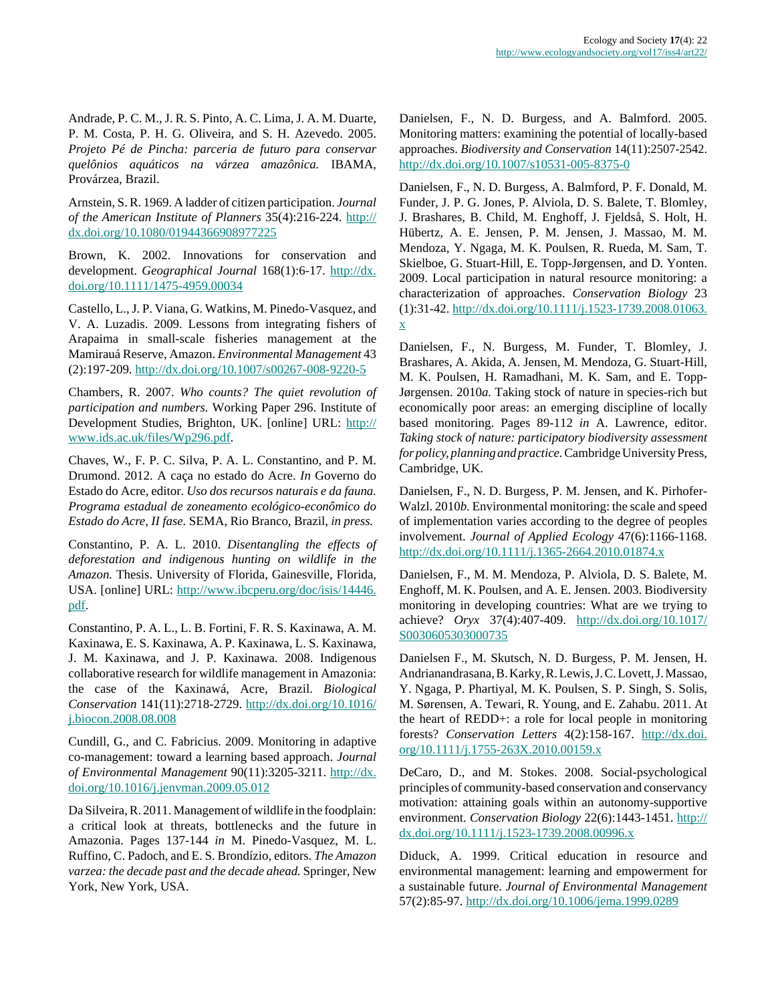Andrade, P. C. M., J. R. S. Pinto, A. C. Lima, J. A. M. Duarte, P. M. Costa, P. H. G. Oliveira, and S. H. Azevedo. 2005. *Projeto Pé de Pincha: parceria de futuro para conservar quelônios aquáticos na várzea amazônica.* IBAMA, Provárzea, Brazil.

Arnstein, S. R. 1969. A ladder of citizen participation. *Journal of the American Institute of Planners* 35(4):216-224. [http://](http://dx.doi.org/10.1080/01944366908977225) [dx.doi.org/10.1080/01944366908977225](http://dx.doi.org/10.1080/01944366908977225)

Brown, K. 2002. Innovations for conservation and development. *Geographical Journal* 168(1):6-17. [http://dx.](http://dx.doi.org/10.1111/1475-4959.00034) [doi.org/10.1111/1475-4959.00034](http://dx.doi.org/10.1111/1475-4959.00034)

Castello, L., J. P. Viana, G. Watkins, M. Pinedo-Vasquez, and V. A. Luzadis. 2009. Lessons from integrating fishers of Arapaima in small-scale fisheries management at the Mamirauá Reserve, Amazon. *Environmental Management* 43 (2):197-209. <http://dx.doi.org/10.1007/s00267-008-9220-5>

Chambers, R. 2007. *Who counts? The quiet revolution of participation and numbers.* Working Paper 296. Institute of Development Studies, Brighton, UK. [online] URL: [http://](http://www.ids.ac.uk/files/Wp296.pdf) [www.ids.ac.uk/files/Wp296.pdf.](http://www.ids.ac.uk/files/Wp296.pdf)

Chaves, W., F. P. C. Silva, P. A. L. Constantino, and P. M. Drumond. 2012. A caça no estado do Acre. *In* Governo do Estado do Acre, editor. *Uso dos recursos naturais e da fauna. Programa estadual de zoneamento ecológico-econômico do Estado do Acre, II fase.* SEMA, Rio Branco, Brazil, *in press.*

Constantino, P. A. L. 2010. *Disentangling the effects of deforestation and indigenous hunting on wildlife in the Amazon.* Thesis. University of Florida, Gainesville, Florida, USA. [online] URL: [http://www.ibcperu.org/doc/isis/14446.](http://www.ibcperu.org/doc/isis/14446.pdf) [pdf](http://www.ibcperu.org/doc/isis/14446.pdf).

Constantino, P. A. L., L. B. Fortini, F. R. S. Kaxinawa, A. M. Kaxinawa, E. S. Kaxinawa, A. P. Kaxinawa, L. S. Kaxinawa, J. M. Kaxinawa, and J. P. Kaxinawa. 2008. Indigenous collaborative research for wildlife management in Amazonia: the case of the Kaxinawá, Acre, Brazil. *Biological Conservation* 141(11):2718-2729. [http://dx.doi.org/10.1016/](http://dx.doi.org/10.1016/j.biocon.2008.08.008) [j.biocon.2008.08.008](http://dx.doi.org/10.1016/j.biocon.2008.08.008)

Cundill, G., and C. Fabricius. 2009. Monitoring in adaptive co-management: toward a learning based approach. *Journal of Environmental Management* 90(11):3205-3211. [http://dx.](http://dx.doi.org/10.1016/j.jenvman.2009.05.012) [doi.org/10.1016/j.jenvman.2009.05.012](http://dx.doi.org/10.1016/j.jenvman.2009.05.012)

Da Silveira, R. 2011. Management of wildlife in the foodplain: a critical look at threats, bottlenecks and the future in Amazonia. Pages 137-144 *in* M. Pinedo-Vasquez, M. L. Ruffino, C. Padoch, and E. S. Brondízio, editors. *The Amazon varzea: the decade past and the decade ahead.* Springer, New York, New York, USA.

Danielsen, F., N. D. Burgess, and A. Balmford. 2005. Monitoring matters: examining the potential of locally-based approaches. *Biodiversity and Conservation* 14(11):2507-2542. <http://dx.doi.org/10.1007/s10531-005-8375-0>

Danielsen, F., N. D. Burgess, A. Balmford, P. F. Donald, M. Funder, J. P. G. Jones, P. Alviola, D. S. Balete, T. Blomley, J. Brashares, B. Child, M. Enghoff, J. Fjeldså, S. Holt, H. Hübertz, A. E. Jensen, P. M. Jensen, J. Massao, M. M. Mendoza, Y. Ngaga, M. K. Poulsen, R. Rueda, M. Sam, T. Skielboe, G. Stuart-Hill, E. Topp-Jørgensen, and D. Yonten. 2009. Local participation in natural resource monitoring: a characterization of approaches. *Conservation Biology* 23 (1):31-42. [http://dx.doi.org/10.1111/j.1523-1739.2008.01063.](http://dx.doi.org/10.1111/j.1523-1739.2008.01063.x) [x](http://dx.doi.org/10.1111/j.1523-1739.2008.01063.x)

Danielsen, F., N. Burgess, M. Funder, T. Blomley, J. Brashares, A. Akida, A. Jensen, M. Mendoza, G. Stuart-Hill, M. K. Poulsen, H. Ramadhani, M. K. Sam, and E. Topp-Jørgensen. 2010*a.* Taking stock of nature in species-rich but economically poor areas: an emerging discipline of locally based monitoring. Pages 89-112 *in* A. Lawrence, editor. *Taking stock of nature: participatory biodiversity assessment for policy, planning and practice.* Cambridge University Press, Cambridge, UK.

Danielsen, F., N. D. Burgess, P. M. Jensen, and K. Pirhofer-Walzl. 2010*b.* Environmental monitoring: the scale and speed of implementation varies according to the degree of peoples involvement. *Journal of Applied Ecology* 47(6):1166-1168. <http://dx.doi.org/10.1111/j.1365-2664.2010.01874.x>

Danielsen, F., M. M. Mendoza, P. Alviola, D. S. Balete, M. Enghoff, M. K. Poulsen, and A. E. Jensen. 2003. Biodiversity monitoring in developing countries: What are we trying to achieve? *Oryx* 37(4):407-409. [http://dx.doi.org/10.1017/](http://dx.doi.org/10.1017/S0030605303000735) [S0030605303000735](http://dx.doi.org/10.1017/S0030605303000735)

Danielsen F., M. Skutsch, N. D. Burgess, P. M. Jensen, H. Andrianandrasana, B. Karky, R. Lewis, J. C. Lovett, J. Massao, Y. Ngaga, P. Phartiyal, M. K. Poulsen, S. P. Singh, S. Solis, M. Sørensen, A. Tewari, R. Young, and E. Zahabu. 2011. At the heart of REDD+: a role for local people in monitoring forests? *Conservation Letters* 4(2):158-167. [http://dx.doi.](http://dx.doi.org/10.1111/j.1755-263X.2010.00159.x) [org/10.1111/j.1755-263X.2010.00159.x](http://dx.doi.org/10.1111/j.1755-263X.2010.00159.x)

DeCaro, D., and M. Stokes. 2008. Social-psychological principles of community-based conservation and conservancy motivation: attaining goals within an autonomy-supportive environment. *Conservation Biology* 22(6):1443-1451. [http://](http://dx.doi.org/10.1111/j.1523-1739.2008.00996.x) [dx.doi.org/10.1111/j.1523-1739.2008.00996.x](http://dx.doi.org/10.1111/j.1523-1739.2008.00996.x)

Diduck, A. 1999. Critical education in resource and environmental management: learning and empowerment for a sustainable future. *Journal of Environmental Management* 57(2):85-97. <http://dx.doi.org/10.1006/jema.1999.0289>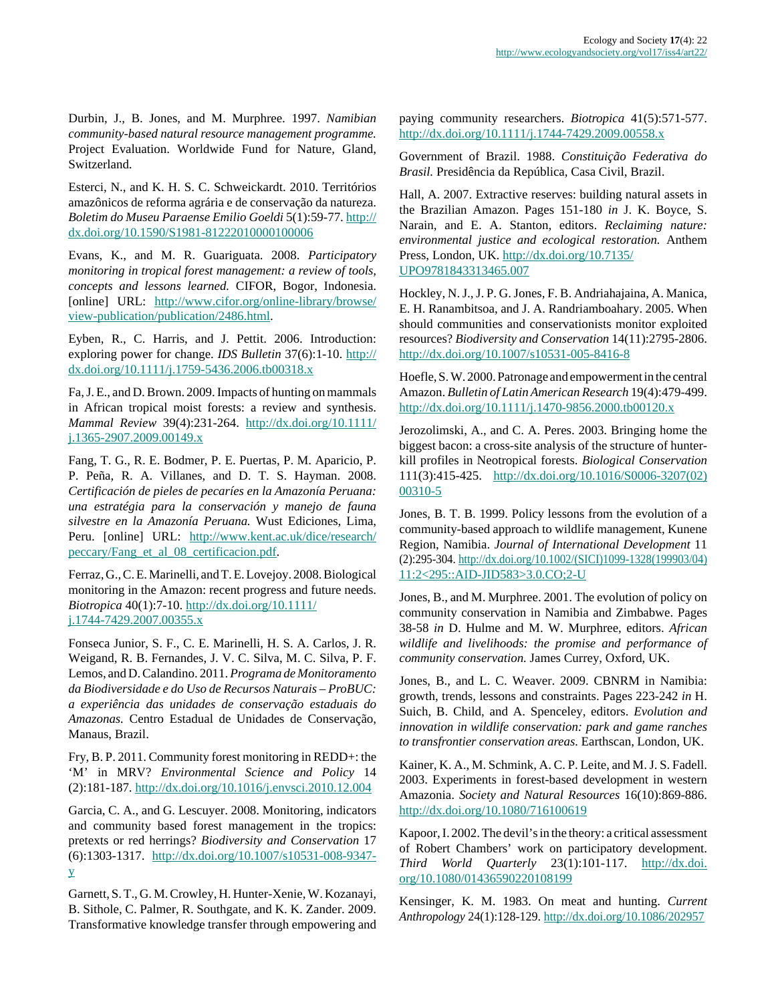Durbin, J., B. Jones, and M. Murphree. 1997. *Namibian community-based natural resource management programme.* Project Evaluation. Worldwide Fund for Nature, Gland, Switzerland.

Esterci, N., and K. H. S. C. Schweickardt. 2010. Territórios amazônicos de reforma agrária e de conservação da natureza. *Boletim do Museu Paraense Emilio Goeldi* 5(1):59-77. [http://](http://dx.doi.org/10.1590/S1981-81222010000100006) [dx.doi.org/10.1590/S1981-81222010000100006](http://dx.doi.org/10.1590/S1981-81222010000100006)

Evans, K., and M. R. Guariguata. 2008. *Participatory monitoring in tropical forest management: a review of tools, concepts and lessons learned.* CIFOR, Bogor, Indonesia. [online] URL: [http://www.cifor.org/online-library/browse/](http://www.cifor.org/online-library/browse/view-publication/publication/2486.html) [view-publication/publication/2486.html](http://www.cifor.org/online-library/browse/view-publication/publication/2486.html).

Eyben, R., C. Harris, and J. Pettit. 2006. Introduction: exploring power for change. *IDS Bulletin* 37(6):1-10. [http://](http://dx.doi.org/10.1111/j.1759-5436.2006.tb00318.x) [dx.doi.org/10.1111/j.1759-5436.2006.tb00318.x](http://dx.doi.org/10.1111/j.1759-5436.2006.tb00318.x)

Fa, J. E., and D. Brown. 2009. Impacts of hunting on mammals in African tropical moist forests: a review and synthesis. *Mammal Review* 39(4):231-264. [http://dx.doi.org/10.1111/](http://dx.doi.org/10.1111/j.1365-2907.2009.00149.x) [j.1365-2907.2009.00149.x](http://dx.doi.org/10.1111/j.1365-2907.2009.00149.x)

Fang, T. G., R. E. Bodmer, P. E. Puertas, P. M. Aparicio, P. P. Peña, R. A. Villanes, and D. T. S. Hayman. 2008. *Certificación de pieles de pecaríes en la Amazonía Peruana: una estratégia para la conservación y manejo de fauna silvestre en la Amazonía Peruana.* Wust Ediciones, Lima, Peru. [online] URL: [http://www.kent.ac.uk/dice/research/](http://www.kent.ac.uk/dice/research/peccary/Fang_et_al_08_certificacion.pdf) [peccary/Fang\\_et\\_al\\_08\\_certificacion.pdf](http://www.kent.ac.uk/dice/research/peccary/Fang_et_al_08_certificacion.pdf).

Ferraz, G., C. E. Marinelli, and T. E. Lovejoy. 2008. Biological monitoring in the Amazon: recent progress and future needs. *Biotropica* 40(1):7-10. [http://dx.doi.org/10.1111/](http://dx.doi.org/10.1111/j.1744-7429.2007.00355.x) [j.1744-7429.2007.00355.x](http://dx.doi.org/10.1111/j.1744-7429.2007.00355.x)

Fonseca Junior, S. F., C. E. Marinelli, H. S. A. Carlos, J. R. Weigand, R. B. Fernandes, J. V. C. Silva, M. C. Silva, P. F. Lemos, and D. Calandino. 2011. *Programa de Monitoramento da Biodiversidade e do Uso de Recursos Naturais – ProBUC: a experiência das unidades de conservação estaduais do Amazonas.* Centro Estadual de Unidades de Conservação, Manaus, Brazil.

Fry, B. P. 2011. Community forest monitoring in REDD+: the 'M' in MRV? *Environmental Science and Policy* 14 (2):181-187. <http://dx.doi.org/10.1016/j.envsci.2010.12.004>

Garcia, C. A., and G. Lescuyer. 2008. Monitoring, indicators and community based forest management in the tropics: pretexts or red herrings? *Biodiversity and Conservation* 17 (6):1303-1317. [http://dx.doi.org/10.1007/s10531-008-9347](http://dx.doi.org/10.1007/s10531-008-9347-y) [y](http://dx.doi.org/10.1007/s10531-008-9347-y)

Garnett, S. T., G. M. Crowley, H. Hunter-Xenie, W. Kozanayi, B. Sithole, C. Palmer, R. Southgate, and K. K. Zander. 2009. Transformative knowledge transfer through empowering and paying community researchers. *Biotropica* 41(5):571-577. <http://dx.doi.org/10.1111/j.1744-7429.2009.00558.x>

Government of Brazil. 1988. *Constituição Federativa do Brasil.* Presidência da República, Casa Civil, Brazil.

Hall, A. 2007. Extractive reserves: building natural assets in the Brazilian Amazon. Pages 151-180 *in* J. K. Boyce, S. Narain, and E. A. Stanton, editors. *Reclaiming nature: environmental justice and ecological restoration.* Anthem Press, London, UK. [http://dx.doi.org/10.7135/](http://dx.doi.org/10.7135/UPO9781843313465.007) [UPO9781843313465.007](http://dx.doi.org/10.7135/UPO9781843313465.007)

Hockley, N. J., J. P. G. Jones, F. B. Andriahajaina, A. Manica, E. H. Ranambitsoa, and J. A. Randriamboahary. 2005. When should communities and conservationists monitor exploited resources? *Biodiversity and Conservation* 14(11):2795-2806. <http://dx.doi.org/10.1007/s10531-005-8416-8>

Hoefle, S. W. 2000. Patronage and empowerment in the central Amazon. *Bulletin of Latin American Research* 19(4):479-499. <http://dx.doi.org/10.1111/j.1470-9856.2000.tb00120.x>

Jerozolimski, A., and C. A. Peres. 2003. Bringing home the biggest bacon: a cross-site analysis of the structure of hunterkill profiles in Neotropical forests. *Biological Conservation* 111(3):415-425. [http://dx.doi.org/10.1016/S0006-3207\(02\)](http://dx.doi.org/10.1016/S0006-3207(02)00310-5) [00310-5](http://dx.doi.org/10.1016/S0006-3207(02)00310-5)

Jones, B. T. B. 1999. Policy lessons from the evolution of a community-based approach to wildlife management, Kunene Region, Namibia. *Journal of International Development* 11 (2):295-304. [http://dx.doi.org/10.1002/\(SICI\)1099-1328\(199903/04\)](http://dx.doi.org/10.1002/(SICI)1099-1328(199903/04)11:2<295::AID-JID583>3.0.CO;2-U) [11:2<295::AID-JID583>3.0.CO;2-U](http://dx.doi.org/10.1002/(SICI)1099-1328(199903/04)11:2<295::AID-JID583>3.0.CO;2-U)

Jones, B., and M. Murphree. 2001. The evolution of policy on community conservation in Namibia and Zimbabwe. Pages 38-58 *in* D. Hulme and M. W. Murphree, editors. *African wildlife and livelihoods: the promise and performance of community conservation.* James Currey, Oxford, UK.

Jones, B., and L. C. Weaver. 2009. CBNRM in Namibia: growth, trends, lessons and constraints. Pages 223-242 *in* H. Suich, B. Child, and A. Spenceley, editors. *Evolution and innovation in wildlife conservation: park and game ranches to transfrontier conservation areas.* Earthscan, London, UK.

Kainer, K. A., M. Schmink, A. C. P. Leite, and M. J. S. Fadell. 2003. Experiments in forest-based development in western Amazonia. *Society and Natural Resources* 16(10):869-886. <http://dx.doi.org/10.1080/716100619>

Kapoor, I. 2002. The devil's in the theory: a critical assessment of Robert Chambers' work on participatory development. *Third World Quarterly* 23(1):101-117. [http://dx.doi.](http://dx.doi.org/10.1080/01436590220108199) [org/10.1080/01436590220108199](http://dx.doi.org/10.1080/01436590220108199)

Kensinger, K. M. 1983. On meat and hunting. *Current Anthropology* 24(1):128-129.<http://dx.doi.org/10.1086/202957>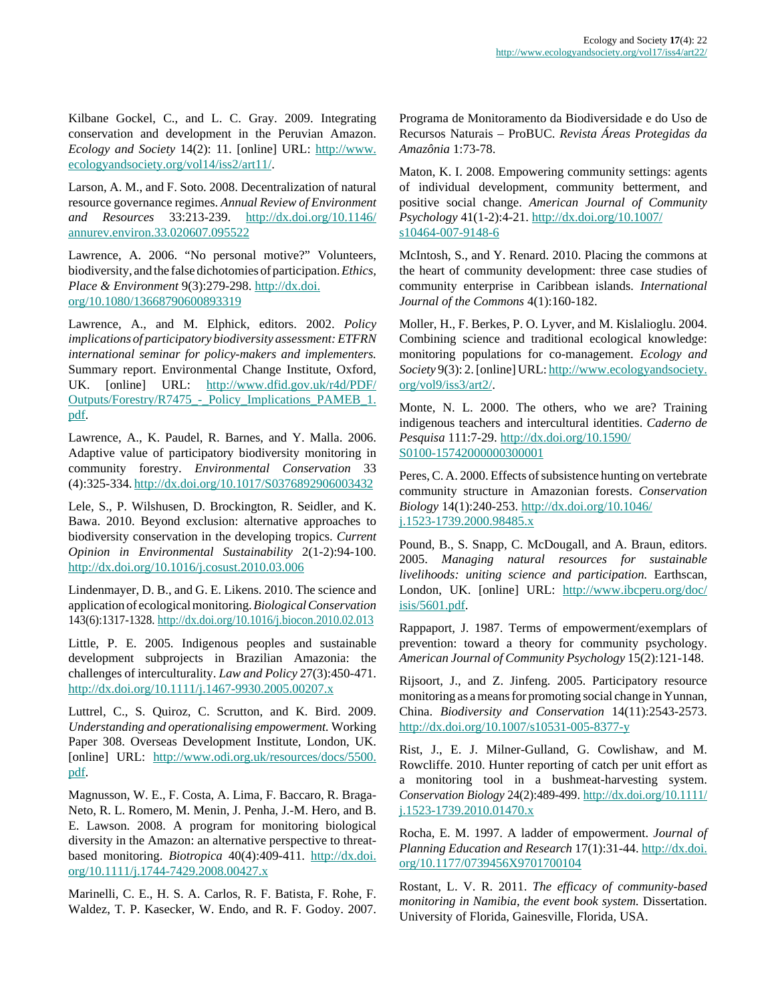Kilbane Gockel, C., and L. C. Gray. 2009. Integrating conservation and development in the Peruvian Amazon. *Ecology and Society* 14(2): 11. [online] URL: [http://www.](http://www.ecologyandsociety.org/vol14/iss2/art11/) [ecologyandsociety.org/vol14/iss2/art11/](http://www.ecologyandsociety.org/vol14/iss2/art11/).

Larson, A. M., and F. Soto. 2008. Decentralization of natural resource governance regimes. *Annual Review of Environment and Resources* 33:213-239. [http://dx.doi.org/10.1146/](http://dx.doi.org/10.1146/annurev.environ.33.020607.095522) [annurev.environ.33.020607.095522](http://dx.doi.org/10.1146/annurev.environ.33.020607.095522)

Lawrence, A. 2006. "No personal motive?" Volunteers, biodiversity, and the false dichotomies of participation. *Ethics, Place & Environment* 9(3):279-298. [http://dx.doi.](http://dx.doi.org/10.1080/13668790600893319) [org/10.1080/13668790600893319](http://dx.doi.org/10.1080/13668790600893319)

Lawrence, A., and M. Elphick, editors. 2002. *Policy implications of participatory biodiversity assessment: ETFRN international seminar for policy-makers and implementers.* Summary report. Environmental Change Institute, Oxford, UK. [online] URL: [http://www.dfid.gov.uk/r4d/PDF/](http://www.dfid.gov.uk/r4d/PDF/Outputs/Forestry/R7475_-_Policy_Implications_PAMEB_1.pdf) Outputs/Forestry/R7475 - Policy Implications PAMEB 1. [pdf](http://www.dfid.gov.uk/r4d/PDF/Outputs/Forestry/R7475_-_Policy_Implications_PAMEB_1.pdf).

Lawrence, A., K. Paudel, R. Barnes, and Y. Malla. 2006. Adaptive value of participatory biodiversity monitoring in community forestry. *Environmental Conservation* 33 (4):325-334.<http://dx.doi.org/10.1017/S0376892906003432>

Lele, S., P. Wilshusen, D. Brockington, R. Seidler, and K. Bawa. 2010. Beyond exclusion: alternative approaches to biodiversity conservation in the developing tropics. *Current Opinion in Environmental Sustainability* 2(1-2):94-100. <http://dx.doi.org/10.1016/j.cosust.2010.03.006>

Lindenmayer, D. B., and G. E. Likens. 2010. The science and application of ecological monitoring. *Biological Conservation* 143(6):1317-1328.<http://dx.doi.org/10.1016/j.biocon.2010.02.013>

Little, P. E. 2005. Indigenous peoples and sustainable development subprojects in Brazilian Amazonia: the challenges of interculturality. *Law and Policy* 27(3):450-471. <http://dx.doi.org/10.1111/j.1467-9930.2005.00207.x>

Luttrel, C., S. Quiroz, C. Scrutton, and K. Bird. 2009. *Understanding and operationalising empowerment.* Working Paper 308. Overseas Development Institute, London, UK. [online] URL: [http://www.odi.org.uk/resources/docs/5500.](http://www.odi.org.uk/resources/docs/5500.pdf) [pdf](http://www.odi.org.uk/resources/docs/5500.pdf).

Magnusson, W. E., F. Costa, A. Lima, F. Baccaro, R. Braga-Neto, R. L. Romero, M. Menin, J. Penha, J.-M. Hero, and B. E. Lawson. 2008. A program for monitoring biological diversity in the Amazon: an alternative perspective to threatbased monitoring. *Biotropica* 40(4):409-411. [http://dx.doi.](http://dx.doi.org/10.1111/j.1744-7429.2008.00427.x) [org/10.1111/j.1744-7429.2008.00427.x](http://dx.doi.org/10.1111/j.1744-7429.2008.00427.x)

Marinelli, C. E., H. S. A. Carlos, R. F. Batista, F. Rohe, F. Waldez, T. P. Kasecker, W. Endo, and R. F. Godoy. 2007. Programa de Monitoramento da Biodiversidade e do Uso de Recursos Naturais – ProBUC. *Revista Áreas Protegidas da Amazônia* 1:73-78.

Maton, K. I. 2008. Empowering community settings: agents of individual development, community betterment, and positive social change. *American Journal of Community Psychology* 41(1-2):4-21. [http://dx.doi.org/10.1007/](http://dx.doi.org/10.1007/s10464-007-9148-6) [s10464-007-9148-6](http://dx.doi.org/10.1007/s10464-007-9148-6)

McIntosh, S., and Y. Renard. 2010. Placing the commons at the heart of community development: three case studies of community enterprise in Caribbean islands. *International Journal of the Commons* 4(1):160-182.

Moller, H., F. Berkes, P. O. Lyver, and M. Kislalioglu. 2004. Combining science and traditional ecological knowledge: monitoring populations for co-management. *Ecology and Society* 9(3): 2. [online] URL: [http://www.ecologyandsociety.](http://www.ecologyandsociety.org/vol9/iss3/art2/) [org/vol9/iss3/art2/](http://www.ecologyandsociety.org/vol9/iss3/art2/).

Monte, N. L. 2000. The others, who we are? Training indigenous teachers and intercultural identities. *Caderno de Pesquisa* 111:7-29. [http://dx.doi.org/10.1590/](http://dx.doi.org/10.1590/S0100-15742000000300001) [S0100-15742000000300001](http://dx.doi.org/10.1590/S0100-15742000000300001)

Peres, C. A. 2000. Effects of subsistence hunting on vertebrate community structure in Amazonian forests. *Conservation Biology* 14(1):240-253. [http://dx.doi.org/10.1046/](http://dx.doi.org/10.1046/j.1523-1739.2000.98485.x) [j.1523-1739.2000.98485.x](http://dx.doi.org/10.1046/j.1523-1739.2000.98485.x)

Pound, B., S. Snapp, C. McDougall, and A. Braun, editors. 2005. *Managing natural resources for sustainable livelihoods: uniting science and participation.* Earthscan, London, UK. [online] URL: [http://www.ibcperu.org/doc/](http://www.ibcperu.org/doc/isis/5601.pdf) [isis/5601.pdf.](http://www.ibcperu.org/doc/isis/5601.pdf)

Rappaport, J. 1987. Terms of empowerment/exemplars of prevention: toward a theory for community psychology. *American Journal of Community Psychology* 15(2):121-148.

Rijsoort, J., and Z. Jinfeng. 2005. Participatory resource monitoring as a means for promoting social change in Yunnan, China. *Biodiversity and Conservation* 14(11):2543-2573. <http://dx.doi.org/10.1007/s10531-005-8377-y>

Rist, J., E. J. Milner-Gulland, G. Cowlishaw, and M. Rowcliffe. 2010. Hunter reporting of catch per unit effort as a monitoring tool in a bushmeat-harvesting system. *Conservation Biology* 24(2):489-499. [http://dx.doi.org/10.1111/](http://dx.doi.org/10.1111/j.1523-1739.2010.01470.x) [j.1523-1739.2010.01470.x](http://dx.doi.org/10.1111/j.1523-1739.2010.01470.x)

Rocha, E. M. 1997. A ladder of empowerment. *Journal of Planning Education and Research* 17(1):31-44. [http://dx.doi.](http://dx.doi.org/10.1177/0739456X9701700104) [org/10.1177/0739456X9701700104](http://dx.doi.org/10.1177/0739456X9701700104)

Rostant, L. V. R. 2011. *The efficacy of community-based monitoring in Namibia, the event book system.* Dissertation. University of Florida, Gainesville, Florida, USA.